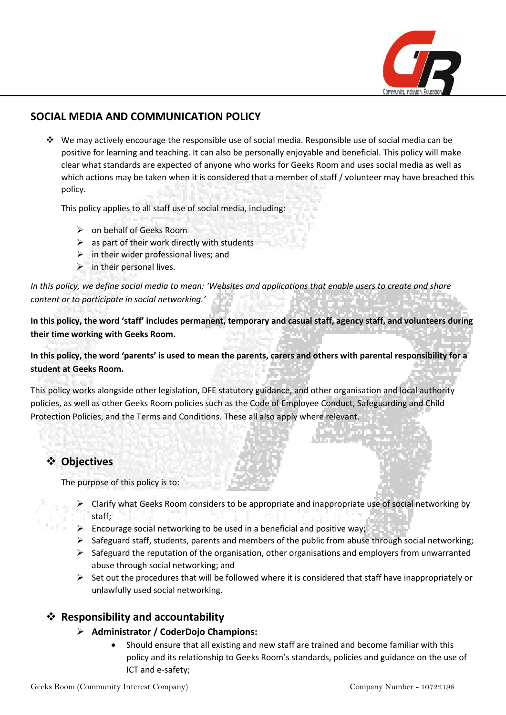

# **SOCIAL MEDIA AND COMMUNICATION POLICY**

◆ We may actively encourage the responsible use of social media. Responsible use of social media can be positive for learning and teaching. It can also be personally enjoyable and beneficial. This policy will make clear what standards are expected of anyone who works for Geeks Room and uses social media as well as which actions may be taken when it is considered that a member of staff / volunteer may have breached this policy.

This policy applies to all staff use of social media, including:

- $\triangleright$  on behalf of Geeks Room
- $\triangleright$  as part of their work directly with students
- $\triangleright$  in their wider professional lives; and
- $\triangleright$  in their personal lives.

*In this policy, we define social media to mean: 'Websites and applications that enable users to create and share content or to participate in social networking.'*

**In this policy, the word 'staff' includes permanent, temporary and casual staff, agency staff, and volunteers during their time working with Geeks Room.**

**In this policy, the word 'parents' is used to mean the parents, carers and others with parental responsibility for a student at Geeks Room.**

This policy works alongside other legislation, DFE statutory guidance, and other organisation and local authority policies, as well as other Geeks Room policies such as the Code of Employee Conduct, Safeguarding and Child Protection Policies, and the Terms and Conditions. These all also apply where relevant.

# ❖ **Objectives**

The purpose of this policy is to:

- $\triangleright$  Clarify what Geeks Room considers to be appropriate and inappropriate use of social networking by staff;
- ➢ Encourage social networking to be used in a beneficial and positive way;
- $\triangleright$  Safeguard staff, students, parents and members of the public from abuse through social networking;
- $\triangleright$  Safeguard the reputation of the organisation, other organisations and employers from unwarranted abuse through social networking; and
- $\triangleright$  Set out the procedures that will be followed where it is considered that staff have inappropriately or unlawfully used social networking.

### ❖ **Responsibility and accountability**

#### ➢ **Administrator / CoderDojo Champions:**

• Should ensure that all existing and new staff are trained and become familiar with this policy and its relationship to Geeks Room's standards, policies and guidance on the use of ICT and e-safety;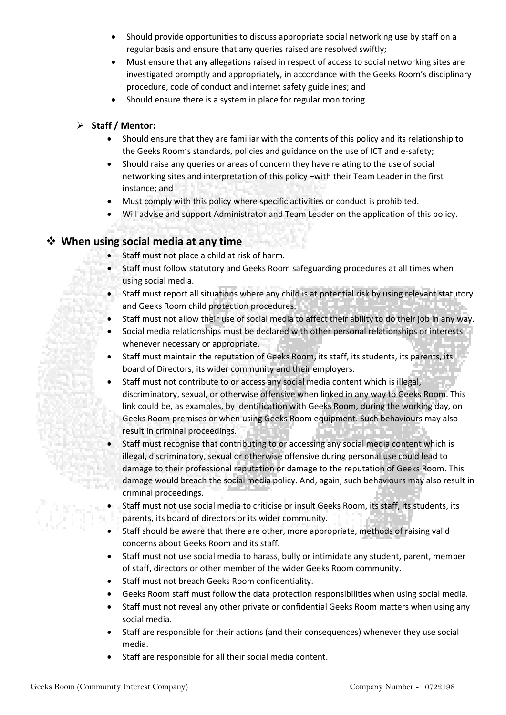- Should provide opportunities to discuss appropriate social networking use by staff on a regular basis and ensure that any queries raised are resolved swiftly;
- Must ensure that any allegations raised in respect of access to social networking sites are investigated promptly and appropriately, in accordance with the Geeks Room's disciplinary procedure, code of conduct and internet safety guidelines; and
- Should ensure there is a system in place for regular monitoring.

#### ➢ **Staff / Mentor:**

- Should ensure that they are familiar with the contents of this policy and its relationship to the Geeks Room's standards, policies and guidance on the use of ICT and e-safety;
- Should raise any queries or areas of concern they have relating to the use of social networking sites and interpretation of this policy –with their Team Leader in the first instance; and
- Must comply with this policy where specific activities or conduct is prohibited.
- Will advise and support Administrator and Team Leader on the application of this policy.

# ❖ **When using social media at any time**

- Staff must not place a child at risk of harm.
- Staff must follow statutory and Geeks Room safeguarding procedures at all times when using social media.
- Staff must report all situations where any child is at potential risk by using relevant statutory and Geeks Room child protection procedures.
- Staff must not allow their use of social media to affect their ability to do their job in any way.
- Social media relationships must be declared with other personal relationships or interests whenever necessary or appropriate.
- Staff must maintain the reputation of Geeks Room, its staff, its students, its parents, its board of Directors, its wider community and their employers.
- Staff must not contribute to or access any social media content which is illegal, discriminatory, sexual, or otherwise offensive when linked in any way to Geeks Room. This link could be, as examples, by identification with Geeks Room, during the working day, on Geeks Room premises or when using Geeks Room equipment. Such behaviours may also result in criminal proceedings.
- Staff must recognise that contributing to or accessing any social media content which is illegal, discriminatory, sexual or otherwise offensive during personal use could lead to damage to their professional reputation or damage to the reputation of Geeks Room. This damage would breach the social media policy. And, again, such behaviours may also result in criminal proceedings.
- Staff must not use social media to criticise or insult Geeks Room, its staff, its students, its parents, its board of directors or its wider community.
- Staff should be aware that there are other, more appropriate, methods of raising valid concerns about Geeks Room and its staff.
- Staff must not use social media to harass, bully or intimidate any student, parent, member of staff, directors or other member of the wider Geeks Room community.
- Staff must not breach Geeks Room confidentiality.
- Geeks Room staff must follow the data protection responsibilities when using social media.
- Staff must not reveal any other private or confidential Geeks Room matters when using any social media.
- Staff are responsible for their actions (and their consequences) whenever they use social media.
- Staff are responsible for all their social media content.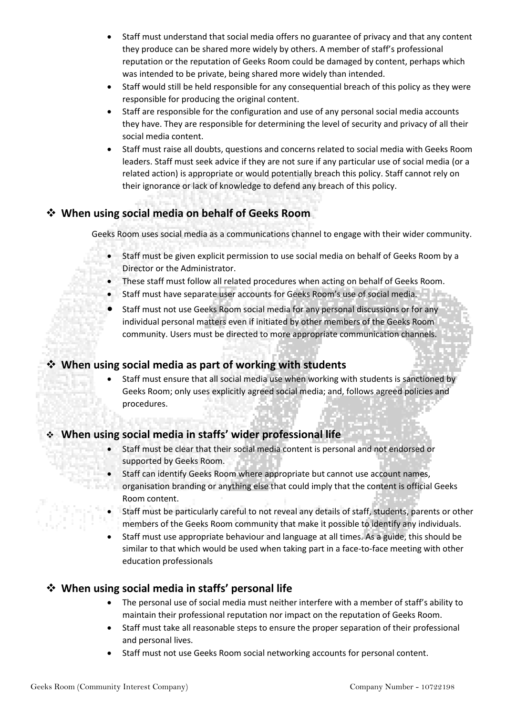- Staff must understand that social media offers no guarantee of privacy and that any content they produce can be shared more widely by others. A member of staff's professional reputation or the reputation of Geeks Room could be damaged by content, perhaps which was intended to be private, being shared more widely than intended.
- Staff would still be held responsible for any consequential breach of this policy as they were responsible for producing the original content.
- Staff are responsible for the configuration and use of any personal social media accounts they have. They are responsible for determining the level of security and privacy of all their social media content.
- Staff must raise all doubts, questions and concerns related to social media with Geeks Room leaders. Staff must seek advice if they are not sure if any particular use of social media (or a related action) is appropriate or would potentially breach this policy. Staff cannot rely on their ignorance or lack of knowledge to defend any breach of this policy.

# ❖ **When using social media on behalf of Geeks Room**

Geeks Room uses social media as a communications channel to engage with their wider community.

- Staff must be given explicit permission to use social media on behalf of Geeks Room by a Director or the Administrator.
- These staff must follow all related procedures when acting on behalf of Geeks Room.
- Staff must have separate user accounts for Geeks Room's use of social media.
- Staff must not use Geeks Room social media for any personal discussions or for any individual personal matters even if initiated by other members of the Geeks Room community. Users must be directed to more appropriate communication channels.

### ❖ **When using social media as part of working with students**

• Staff must ensure that all social media use when working with students is sanctioned by Geeks Room; only uses explicitly agreed social media; and, follows agreed policies and procedures.

### ❖ **When using social media in staffs' wider professional life**

- Staff must be clear that their social media content is personal and not endorsed or supported by Geeks Room.
- Staff can identify Geeks Room where appropriate but cannot use account names, **Eddin** organisation branding or anything else that could imply that the content is official Geeks Room content.
	- Staff must be particularly careful to not reveal any details of staff, students, parents or other members of the Geeks Room community that make it possible to identify any individuals.
	- Staff must use appropriate behaviour and language at all times. As a guide, this should be similar to that which would be used when taking part in a face-to-face meeting with other education professionals

# ❖ **When using social media in staffs' personal life**

- The personal use of social media must neither interfere with a member of staff's ability to maintain their professional reputation nor impact on the reputation of Geeks Room.
- Staff must take all reasonable steps to ensure the proper separation of their professional and personal lives.
- Staff must not use Geeks Room social networking accounts for personal content.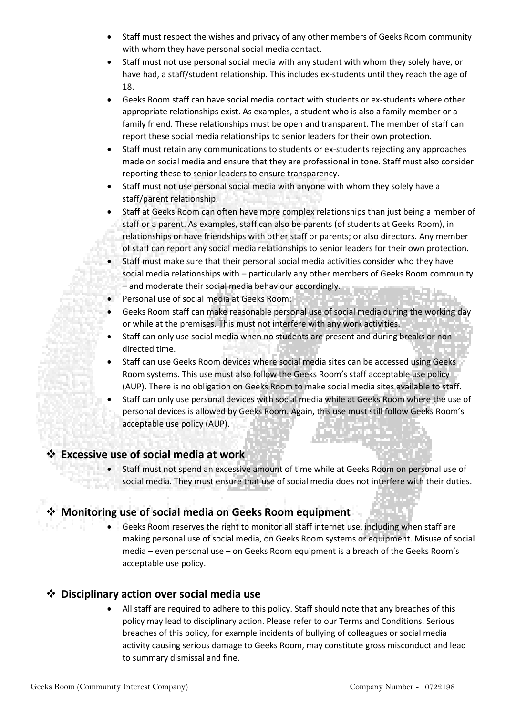- Staff must respect the wishes and privacy of any other members of Geeks Room community with whom they have personal social media contact.
- Staff must not use personal social media with any student with whom they solely have, or have had, a staff/student relationship. This includes ex-students until they reach the age of 18.
- Geeks Room staff can have social media contact with students or ex-students where other appropriate relationships exist. As examples, a student who is also a family member or a family friend. These relationships must be open and transparent. The member of staff can report these social media relationships to senior leaders for their own protection.
- Staff must retain any communications to students or ex-students rejecting any approaches made on social media and ensure that they are professional in tone. Staff must also consider reporting these to senior leaders to ensure transparency.
- Staff must not use personal social media with anyone with whom they solely have a staff/parent relationship.
- Staff at Geeks Room can often have more complex relationships than just being a member of staff or a parent. As examples, staff can also be parents (of students at Geeks Room), in relationships or have friendships with other staff or parents; or also directors. Any member of staff can report any social media relationships to senior leaders for their own protection.
- Staff must make sure that their personal social media activities consider who they have social media relationships with – particularly any other members of Geeks Room community – and moderate their social media behaviour accordingly.
- Personal use of social media at Geeks Room:
- Geeks Room staff can make reasonable personal use of social media during the working day or while at the premises. This must not interfere with any work activities.
- Staff can only use social media when no students are present and during breaks or nondirected time.
- Staff can use Geeks Room devices where social media sites can be accessed using Geeks Room systems. This use must also follow the Geeks Room's staff acceptable use policy (AUP). There is no obligation on Geeks Room to make social media sites available to staff.
- Staff can only use personal devices with social media while at Geeks Room where the use of personal devices is allowed by Geeks Room. Again, this use must still follow Geeks Room's acceptable use policy (AUP).

# ❖ **Excessive use of social media at work**

• Staff must not spend an excessive amount of time while at Geeks Room on personal use of social media. They must ensure that use of social media does not interfere with their duties.

# ❖ **Monitoring use of social media on Geeks Room equipment**

• Geeks Room reserves the right to monitor all staff internet use, including when staff are making personal use of social media, on Geeks Room systems or equipment. Misuse of social media – even personal use – on Geeks Room equipment is a breach of the Geeks Room's acceptable use policy.

### ❖ **Disciplinary action over social media use**

• All staff are required to adhere to this policy. Staff should note that any breaches of this policy may lead to disciplinary action. Please refer to our Terms and Conditions. Serious breaches of this policy, for example incidents of bullying of colleagues or social media activity causing serious damage to Geeks Room, may constitute gross misconduct and lead to summary dismissal and fine.